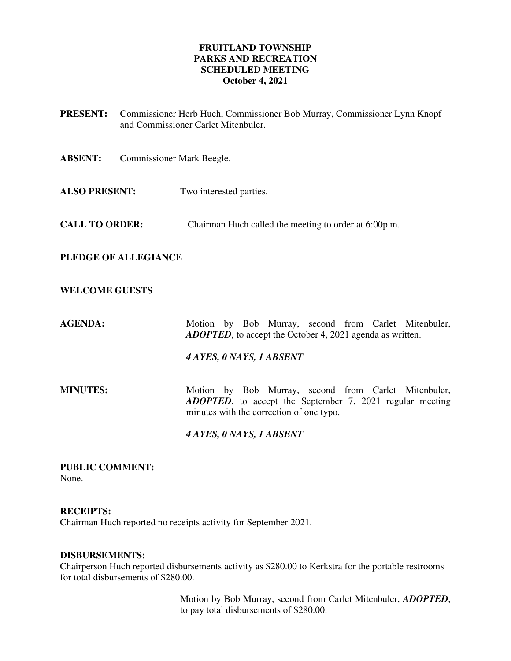## **FRUITLAND TOWNSHIP PARKS AND RECREATION SCHEDULED MEETING October 4, 2021**

- **PRESENT:** Commissioner Herb Huch, Commissioner Bob Murray, Commissioner Lynn Knopf and Commissioner Carlet Mitenbuler.
- **ABSENT:** Commissioner Mark Beegle.
- **ALSO PRESENT:** Two interested parties.
- **CALL TO ORDER:** Chairman Huch called the meeting to order at 6:00p.m.
- **PLEDGE OF ALLEGIANCE**

#### **WELCOME GUESTS**

AGENDA: Motion by Bob Murray, second from Carlet Mitenbuler, *ADOPTED*, to accept the October 4, 2021 agenda as written.

*4 AYES, 0 NAYS, 1 ABSENT* 

**MINUTES:** Motion by Bob Murray, second from Carlet Mitenbuler, *ADOPTED*, to accept the September 7, 2021 regular meeting minutes with the correction of one typo.

#### *4 AYES, 0 NAYS, 1 ABSENT*

**PUBLIC COMMENT:**  None.

#### **RECEIPTS:**

Chairman Huch reported no receipts activity for September 2021.

#### **DISBURSEMENTS:**

Chairperson Huch reported disbursements activity as \$280.00 to Kerkstra for the portable restrooms for total disbursements of \$280.00.

> Motion by Bob Murray, second from Carlet Mitenbuler, *ADOPTED*, to pay total disbursements of \$280.00.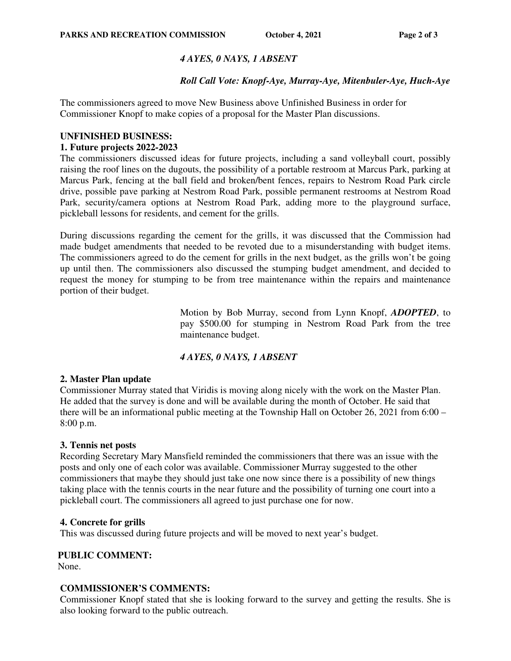# *4 AYES, 0 NAYS, 1 ABSENT*

# *Roll Call Vote: Knopf-Aye, Murray-Aye, Mitenbuler-Aye, Huch-Aye*

The commissioners agreed to move New Business above Unfinished Business in order for Commissioner Knopf to make copies of a proposal for the Master Plan discussions.

#### **UNFINISHED BUSINESS:**

#### **1. Future projects 2022-2023**

The commissioners discussed ideas for future projects, including a sand volleyball court, possibly raising the roof lines on the dugouts, the possibility of a portable restroom at Marcus Park, parking at Marcus Park, fencing at the ball field and broken/bent fences, repairs to Nestrom Road Park circle drive, possible pave parking at Nestrom Road Park, possible permanent restrooms at Nestrom Road Park, security/camera options at Nestrom Road Park, adding more to the playground surface, pickleball lessons for residents, and cement for the grills.

During discussions regarding the cement for the grills, it was discussed that the Commission had made budget amendments that needed to be revoted due to a misunderstanding with budget items. The commissioners agreed to do the cement for grills in the next budget, as the grills won't be going up until then. The commissioners also discussed the stumping budget amendment, and decided to request the money for stumping to be from tree maintenance within the repairs and maintenance portion of their budget.

> Motion by Bob Murray, second from Lynn Knopf, *ADOPTED*, to pay \$500.00 for stumping in Nestrom Road Park from the tree maintenance budget.

## *4 AYES, 0 NAYS, 1 ABSENT*

#### **2. Master Plan update**

Commissioner Murray stated that Viridis is moving along nicely with the work on the Master Plan. He added that the survey is done and will be available during the month of October. He said that there will be an informational public meeting at the Township Hall on October 26, 2021 from 6:00 – 8:00 p.m.

## **3. Tennis net posts**

Recording Secretary Mary Mansfield reminded the commissioners that there was an issue with the posts and only one of each color was available. Commissioner Murray suggested to the other commissioners that maybe they should just take one now since there is a possibility of new things taking place with the tennis courts in the near future and the possibility of turning one court into a pickleball court. The commissioners all agreed to just purchase one for now.

#### **4. Concrete for grills**

This was discussed during future projects and will be moved to next year's budget.

## **PUBLIC COMMENT:**

None.

## **COMMISSIONER'S COMMENTS:**

Commissioner Knopf stated that she is looking forward to the survey and getting the results. She is also looking forward to the public outreach.